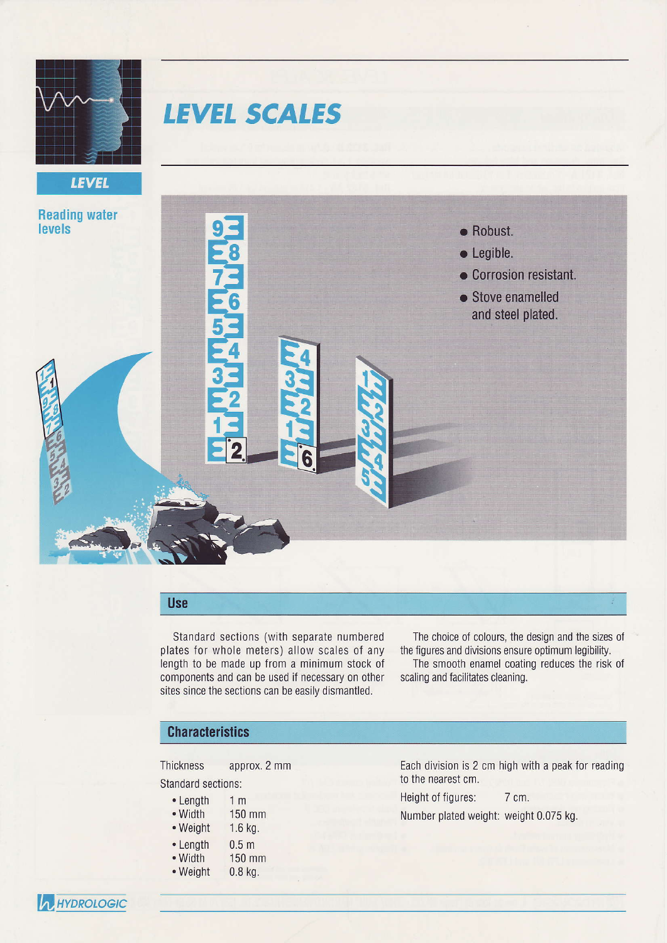

**LEVEL** 

# **LEVEL SCALES**



## Use

Standard sections (with separate numbered plates for whole meters) allow scales of any length to be made up from a minimum stock of components and can be used if necessary on other sites since the sections can be easily dismantled.

The choice of colours, the design and the sizes of the figures and divisions ensure optimum legibility.

The smooth enamel coating reduces the risk 0f scaling and facilitates cleaning.

## **Characteristics**

Thickness approx. 2 mm

## Standard sections:

- 1m'150 mm • Length • Width
- 1.6 kg. . Weight
- 0.5 m
- 150 mm . Length • Width
- 
- 0.8 kg. . Weiqht

Each division is 2 cm high with a peak Ior reading to the nearest cm.

Height of figures: 7 cm.

Number plated weight: weight 0.075 kg.